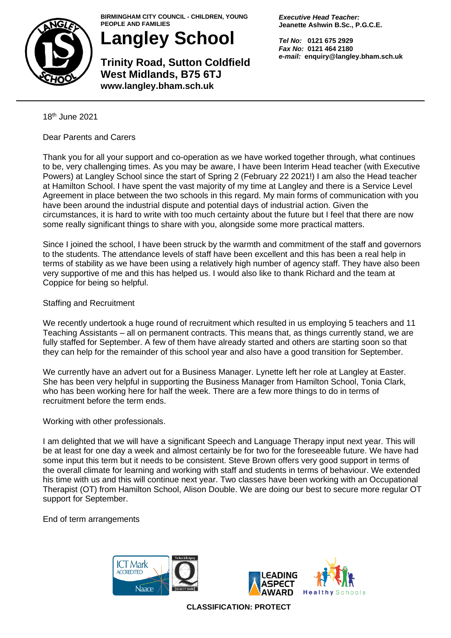

**BIRMINGHAM CITY COUNCIL - CHILDREN, YOUNG PEOPLE AND FAMILIES**

**Langley School**

**Trinity Road, Sutton Coldfield West Midlands, B75 6TJ www.langley.bham.sch.uk**

*Executive Head Teacher:* **Jeanette Ashwin B.Sc., P.G.C.E.**

*Tel No:* **0121 675 2929** *Fax No:* **0121 464 2180** *e-mail:* **enquiry@langley.bham.sch.uk**

18th June 2021

Dear Parents and Carers

Thank you for all your support and co-operation as we have worked together through, what continues to be, very challenging times. As you may be aware, I have been Interim Head teacher (with Executive Powers) at Langley School since the start of Spring 2 (February 22 2021!) I am also the Head teacher at Hamilton School. I have spent the vast majority of my time at Langley and there is a Service Level Agreement in place between the two schools in this regard. My main forms of communication with you have been around the industrial dispute and potential days of industrial action. Given the circumstances, it is hard to write with too much certainty about the future but I feel that there are now some really significant things to share with you, alongside some more practical matters.

Since I joined the school, I have been struck by the warmth and commitment of the staff and governors to the students. The attendance levels of staff have been excellent and this has been a real help in terms of stability as we have been using a relatively high number of agency staff. They have also been very supportive of me and this has helped us. I would also like to thank Richard and the team at Coppice for being so helpful.

## Staffing and Recruitment

We recently undertook a huge round of recruitment which resulted in us employing 5 teachers and 11 Teaching Assistants – all on permanent contracts. This means that, as things currently stand, we are fully staffed for September. A few of them have already started and others are starting soon so that they can help for the remainder of this school year and also have a good transition for September.

We currently have an advert out for a Business Manager. Lynette left her role at Langley at Easter. She has been very helpful in supporting the Business Manager from Hamilton School, Tonia Clark, who has been working here for half the week. There are a few more things to do in terms of recruitment before the term ends.

Working with other professionals.

I am delighted that we will have a significant Speech and Language Therapy input next year. This will be at least for one day a week and almost certainly be for two for the foreseeable future. We have had some input this term but it needs to be consistent. Steve Brown offers very good support in terms of the overall climate for learning and working with staff and students in terms of behaviour. We extended his time with us and this will continue next year. Two classes have been working with an Occupational Therapist (OT) from Hamilton School, Alison Double. We are doing our best to secure more regular OT support for September.

End of term arrangements





**CLASSIFICATION: PROTECT**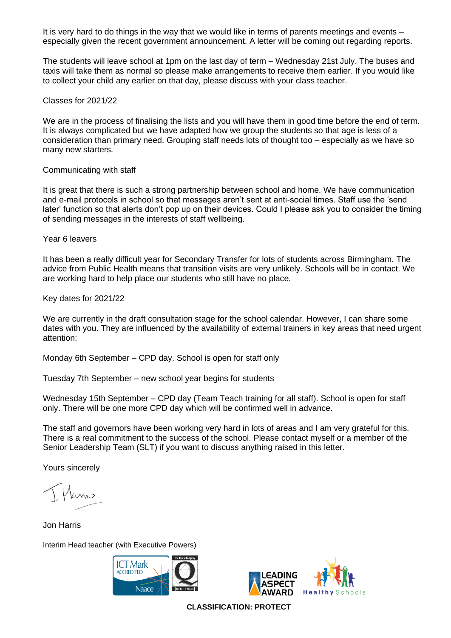It is very hard to do things in the way that we would like in terms of parents meetings and events – especially given the recent government announcement. A letter will be coming out regarding reports.

The students will leave school at 1pm on the last day of term – Wednesday 21st July. The buses and taxis will take them as normal so please make arrangements to receive them earlier. If you would like to collect your child any earlier on that day, please discuss with your class teacher.

## Classes for 2021/22

We are in the process of finalising the lists and you will have them in good time before the end of term. It is always complicated but we have adapted how we group the students so that age is less of a consideration than primary need. Grouping staff needs lots of thought too – especially as we have so many new starters.

## Communicating with staff

It is great that there is such a strong partnership between school and home. We have communication and e-mail protocols in school so that messages aren't sent at anti-social times. Staff use the 'send later' function so that alerts don't pop up on their devices. Could I please ask you to consider the timing of sending messages in the interests of staff wellbeing.

Year 6 leavers

It has been a really difficult year for Secondary Transfer for lots of students across Birmingham. The advice from Public Health means that transition visits are very unlikely. Schools will be in contact. We are working hard to help place our students who still have no place.

Key dates for 2021/22

We are currently in the draft consultation stage for the school calendar. However, I can share some dates with you. They are influenced by the availability of external trainers in key areas that need urgent attention:

Monday 6th September – CPD day. School is open for staff only

Tuesday 7th September – new school year begins for students

Wednesday 15th September – CPD day (Team Teach training for all staff). School is open for staff only. There will be one more CPD day which will be confirmed well in advance.

The staff and governors have been working very hard in lots of areas and I am very grateful for this. There is a real commitment to the success of the school. Please contact myself or a member of the Senior Leadership Team (SLT) if you want to discuss anything raised in this letter.

Yours sincerely

Hams

Jon Harris

Interim Head teacher (with Executive Powers)





**CLASSIFICATION: PROTECT**